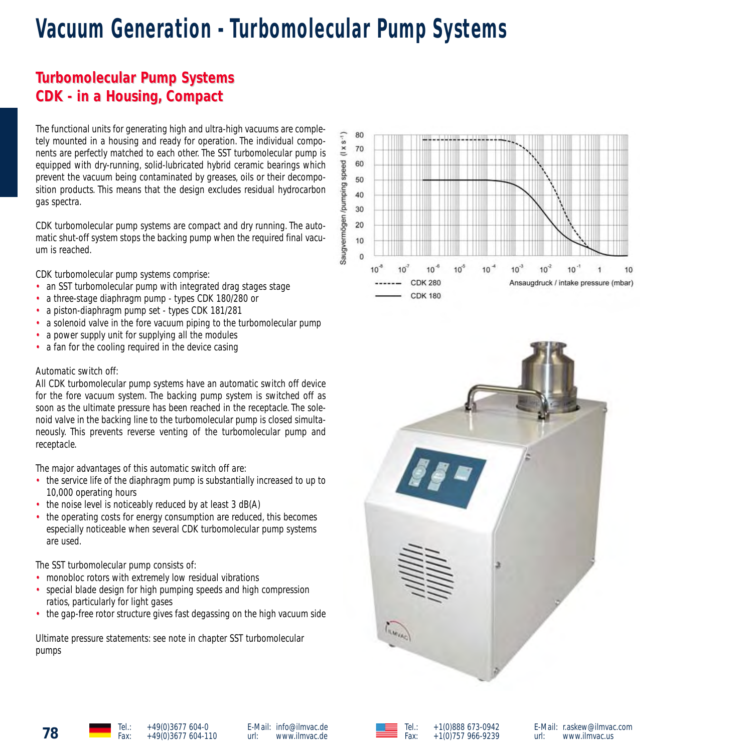# **Vacuum Generation - Turbomolecular Pump Systems**

# **Turbomolecular Pump Systems urbomolecular Pump Systems CDK - in a Housing CDK - a Housing, Compact Compact**

The functional units for generating high and ultra-high vacuums are completely mounted in a housing and ready for operation. The individual components are perfectly matched to each other. The SST turbomolecular pump is equipped with dry-running, solid-lubricated hybrid ceramic bearings which prevent the vacuum being contaminated by greases, oils or their decomposition products. This means that the design excludes residual hydrocarbon gas spectra.

CDK turbomolecular pump systems are compact and dry running. The automatic shut-off system stops the backing pump when the required final vacuum is reached.

CDK turbomolecular pump systems comprise:

- an SST turbomolecular pump with integrated drag stages stage
- a three-stage diaphragm pump types CDK 180/280 or
- a piston-diaphragm pump set types CDK 181/281
- a solenoid valve in the fore vacuum piping to the turbomolecular pump
- a power supply unit for supplying all the modules
- a fan for the cooling required in the device casing

#### Automatic switch off:

All CDK turbomolecular pump systems have an automatic switch off device for the fore vacuum system. The backing pump system is switched off as soon as the ultimate pressure has been reached in the receptacle. The solenoid valve in the backing line to the turbomolecular pump is closed simultaneously. This prevents reverse venting of the turbomolecular pump and receptacle.

The major advantages of this automatic switch off are:

- the service life of the diaphragm pump is substantially increased to up to 10,000 operating hours
- the noise level is noticeably reduced by at least 3 dB(A)
- the operating costs for energy consumption are reduced, this becomes especially noticeable when several CDK turbomolecular pump systems are used.

The SST turbomolecular pump consists of:

- monobloc rotors with extremely low residual vibrations
- special blade design for high pumping speeds and high compression ratios, particularly for light gases
- the gap-free rotor structure gives fast degassing on the high vacuum side

Ultimate pressure statements: see note in chapter SST turbomolecular pumps







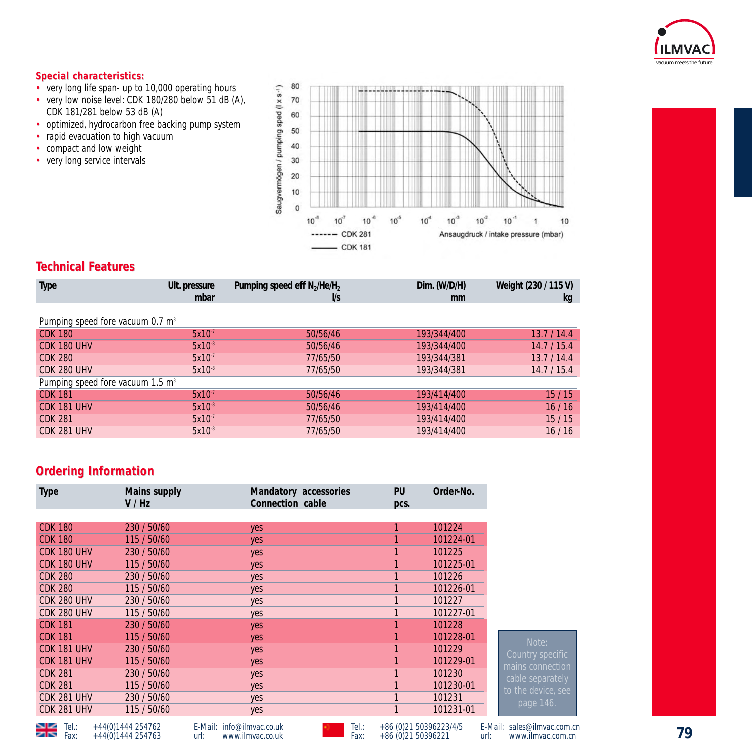

### $Special characteristics:$

- very long life span- up to 10,000 operating hours
- very low noise level: CDK 180/280 below 51 dB (A), CDK 181/281 below 53 dB (A)
- optimized, hydrocarbon free backing pump system<br>• rapid evacuation to high vacuum
- rapid evacuation to high vacuum
- compact and low weight
- very long service intervals



## **Technical F echnical Features**

| <b>Type</b>                                  | Ult. pressure<br>mbar | Pumping speed eff $N_2$ /He/H <sub>2</sub><br>l/s | Dim. (W/D/H)<br>mm | Weight (230 / 115 V)<br>kg |  |
|----------------------------------------------|-----------------------|---------------------------------------------------|--------------------|----------------------------|--|
|                                              |                       |                                                   |                    |                            |  |
| Pumping speed fore vacuum 0.7 m <sup>3</sup> |                       |                                                   |                    |                            |  |
| <b>CDK 180</b>                               | $5x10^{-7}$           | 50/56/46                                          | 193/344/400        | 13.7/14.4                  |  |
| CDK 180 UHV                                  | $5x10^{-8}$           | 50/56/46                                          | 193/344/400        | 14.7/15.4                  |  |
| <b>CDK 280</b>                               | $5x10^{-7}$           | 77/65/50                                          | 193/344/381        | 13.7/14.4                  |  |
| CDK 280 UHV                                  | $5x10^{-8}$           | 77/65/50                                          | 193/344/381        | 14.7/15.4                  |  |
| Pumping speed fore vacuum 1.5 m <sup>3</sup> |                       |                                                   |                    |                            |  |
| <b>CDK 181</b>                               | $5x10^{-7}$           | 50/56/46                                          | 193/414/400        | 15/15                      |  |
| CDK 181 UHV                                  | $5x10^{-8}$           | 50/56/46                                          | 193/414/400        | 16/16                      |  |
| <b>CDK 281</b>                               | $5x10^{-7}$           | 77/65/50                                          | 193/414/400        | 15/15                      |  |
| CDK 281 UHV                                  | $5x10^{-8}$           | 77/65/50                                          | 193/414/400        | 16/16                      |  |
|                                              |                       |                                                   |                    |                            |  |

### **Ordering Information**

| <b>Type</b>    | Mains supply<br>V/Hz | Mandatory accessories<br>Connection cable | PU<br>pcs. | Order-No. |
|----------------|----------------------|-------------------------------------------|------------|-----------|
|                |                      |                                           |            |           |
| <b>CDK 180</b> | 230 / 50/60          | yes                                       |            | 101224    |
| <b>CDK 180</b> | 115 / 50/60          | yes                                       |            | 101224-01 |
| CDK 180 UHV    | 230 / 50/60          | yes                                       |            | 101225    |
| CDK 180 UHV    | 115 / 50/60          | yes                                       |            | 101225-01 |
| <b>CDK 280</b> | 230 / 50/60          | yes                                       |            | 101226    |
| <b>CDK 280</b> | 115 / 50/60          | yes                                       |            | 101226-01 |
| CDK 280 UHV    | 230 / 50/60          | yes                                       |            | 101227    |
| CDK 280 UHV    | 115 / 50/60          | yes                                       |            | 101227-01 |
| <b>CDK 181</b> | 230 / 50/60          | yes                                       |            | 101228    |
| <b>CDK 181</b> | 115 / 50/60          | yes                                       |            | 101228-01 |
| CDK 181 UHV    | 230 / 50/60          | yes                                       |            | 101229    |
| CDK 181 UHV    | 115 / 50/60          | yes                                       |            | 101229-01 |
| <b>CDK 281</b> | 230 / 50/60          | yes                                       |            | 101230    |
| <b>CDK 281</b> | 115 / 50/60          | yes                                       |            | 101230-01 |
| CDK 281 UHV    | 230 / 50/60          | yes                                       |            | 101231    |
| CDK 281 UHV    | 115 / 50/60          | yes                                       |            | 101231-01 |



| ↘⊵ | Tel.: | +44(0)1444 254762 |
|----|-------|-------------------|
| ↗  | Fax:  | +44(0)1444 254763 |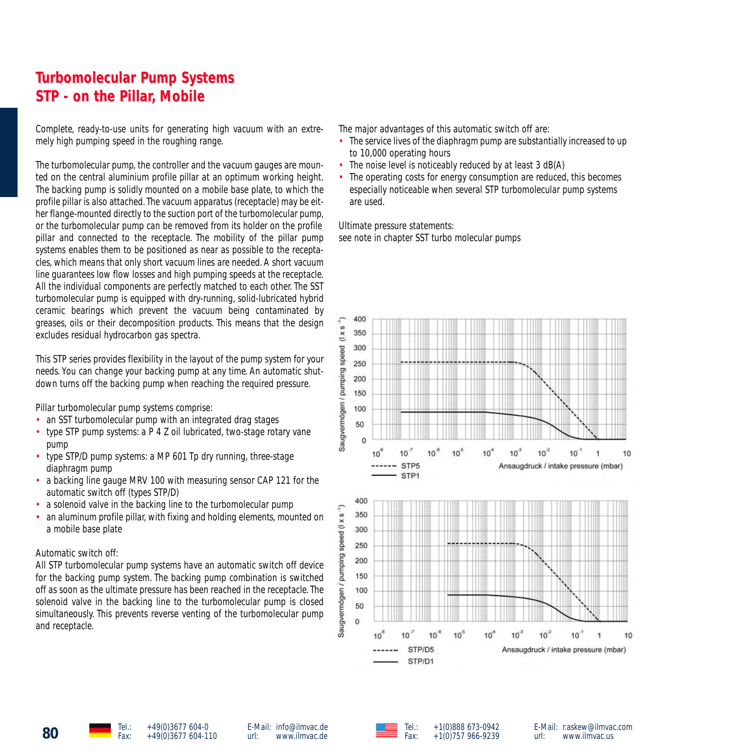# **Turbomolecular Pump Systems urbomolecular Pump Systems STP - on the Pillar STP - the Pillar, Mobile**

Complete, ready-to-use units for generating high vacuum with an extremely high pumping speed in the roughing range.

The turbomolecular pump, the controller and the vacuum gauges are mounted on the central aluminium profile pillar at an optimum working height. The backing pump is solidly mounted on a mobile base plate, to which the profile pillar is also attached.The vacuum apparatus (receptacle) may be either flange-mounted directly to the suction port of the turbomolecular pump, or the turbomolecular pump can be removed from its holder on the profile pillar and connected to the receptacle. The mobility of the pillar pump systems enables them to be positioned as near as possible to the receptacles, which means that only short vacuum lines are needed. A short vacuum line guarantees low flow losses and high pumping speeds at the receptacle. All the individual components are perfectly matched to each other. The SST turbomolecular pump is equipped with dry-running, solid-lubricated hybrid ceramic bearings which prevent the vacuum being contaminated by greases, oils or their decomposition products. This means that the design excludes residual hydrocarbon gas spectra.

This STP series provides flexibility in the layout of the pump system for your needs. You can change your backing pump at any time. An automatic shutdown turns off the backing pump when reaching the required pressure.

Pillar turbomolecular pump systems comprise:

- an SST turbomolecular pump with an integrated drag stages
- type STP pump systems: a P 4 Z oil lubricated, two-stage rotary vane pump
- type STP/D pump systems: a MP 601 Tp dry running, three-stage diaphragm pump
- a backing line gauge MRV 100 with measuring sensor CAP 121 for the automatic switch off (types STP/D)
- a solenoid valve in the backing line to the turbomolecular pump
- an aluminum profile pillar, with fixing and holding elements, mounted on a mobile base plate

#### Automatic switch off:

All STP turbomolecular pump systems have an automatic switch off device for the backing pump system. The backing pump combination is switched off as soon as the ultimate pressure has been reached in the receptacle. The solenoid valve in the backing line to the turbomolecular pump is closed simultaneously. This prevents reverse venting of the turbomolecular pump and receptacle.

The major advantages of this automatic switch off are:

- The service lives of the diaphragm pump are substantially increased to up to 10,000 operating hours
- The noise level is noticeably reduced by at least 3 dB(A)
- The operating costs for energy consumption are reduced, this becomes especially noticeable when several STP turbomolecular pump systems are used.

Ultimate pressure statements:

see note in chapter SST turbo molecular pumps



E-Mail: info@ilmvac.de url: www.ilmvac.de



Tel.:  $+1(0)888673-0942$ <br>Eav:  $+1(0)757966-0239$  $+1(0)757966-9239$  E-Mail: r.askew@ilmvac.com www.ilmvac.us